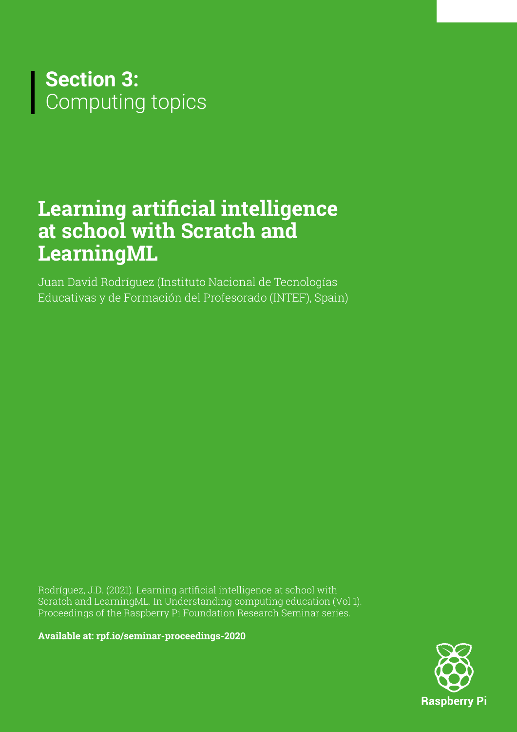

# **Learning artificial intelligence at school with Scratch and LearningML**

Juan David Rodríguez (Instituto Nacional de Tecnologías Educativas y de Formación del Profesorado (INTEF), Spain)

Rodríguez, J.D. (2021). Learning artificial intelligence at school with Scratch and LearningML. In Understanding computing education (Vol 1). Proceedings of the Raspberry Pi Foundation Research Seminar series.

**[Available at: rpf.io/seminar-proceedings-2020](http://rpf.io/seminar-proceedings-2020)**

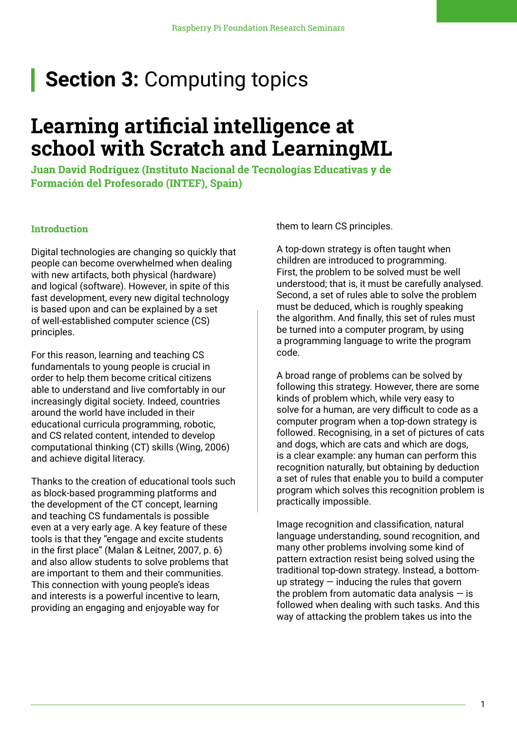# **Section 3: Computing topics**

# **Learning artificial intelligence at school with Scratch and LearningML**

**Juan David Rodríguez (Instituto Nacional de Tecnologías Educativas y de Formación del Profesorado (INTEF), Spain)**

# **Introduction**

Digital technologies are changing so quickly that people can become overwhelmed when dealing with new artifacts, both physical (hardware) and logical (software). However, in spite of this fast development, every new digital technology is based upon and can be explained by a set of well-established computer science (CS) principles.

For this reason, learning and teaching CS fundamentals to young people is crucial in order to help them become critical citizens able to understand and live comfortably in our increasingly digital society. Indeed, countries around the world have included in their educational curricula programming, robotic, and CS related content, intended to develop computational thinking (CT) skills (Wing, 2006) and achieve digital literacy.

Thanks to the creation of educational tools such as block-based programming platforms and the development of the CT concept, learning and teaching CS fundamentals is possible even at a very early age. A key feature of these tools is that they "engage and excite students in the first place" (Malan & Leitner, 2007, p. 6) and also allow students to solve problems that are important to them and their communities. This connection with young people's ideas and interests is a powerful incentive to learn, providing an engaging and enjoyable way for

them to learn CS principles.

A top-down strategy is often taught when children are introduced to programming. First, the problem to be solved must be well understood; that is, it must be carefully analysed. Second, a set of rules able to solve the problem must be deduced, which is roughly speaking the algorithm. And finally, this set of rules must be turned into a computer program, by using a programming language to write the program code.

A broad range of problems can be solved by following this strategy. However, there are some kinds of problem which, while very easy to solve for a human, are very difficult to code as a computer program when a top-down strategy is followed. Recognising, in a set of pictures of cats and dogs, which are cats and which are dogs, is a clear example: any human can perform this recognition naturally, but obtaining by deduction a set of rules that enable you to build a computer program which solves this recognition problem is practically impossible.

Image recognition and classification, natural language understanding, sound recognition, and many other problems involving some kind of pattern extraction resist being solved using the traditional top-down strategy. Instead, a bottomup strategy  $-$  inducing the rules that govern the problem from automatic data analysis  $-$  is followed when dealing with such tasks. And this way of attacking the problem takes us into the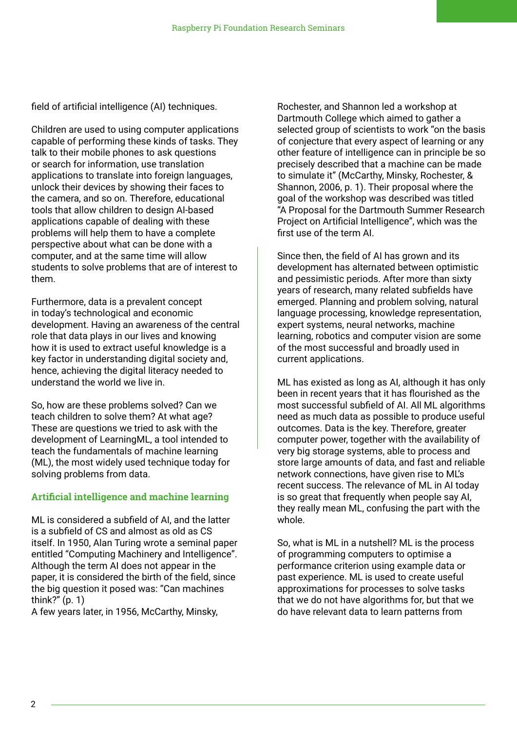field of artificial intelligence (AI) techniques.

Children are used to using computer applications capable of performing these kinds of tasks. They talk to their mobile phones to ask questions or search for information, use translation applications to translate into foreign languages, unlock their devices by showing their faces to the camera, and so on. Therefore, educational tools that allow children to design AI-based applications capable of dealing with these problems will help them to have a complete perspective about what can be done with a computer, and at the same time will allow students to solve problems that are of interest to them.

Furthermore, data is a prevalent concept in today's technological and economic development. Having an awareness of the central role that data plays in our lives and knowing how it is used to extract useful knowledge is a key factor in understanding digital society and, hence, achieving the digital literacy needed to understand the world we live in.

So, how are these problems solved? Can we teach children to solve them? At what age? These are questions we tried to ask with the development of LearningML, a tool intended to teach the fundamentals of machine learning (ML), the most widely used technique today for solving problems from data.

# **Artificial intelligence and machine learning**

ML is considered a subfield of AI, and the latter is a subfield of CS and almost as old as CS itself. In 1950, Alan Turing wrote a seminal paper entitled "Computing Machinery and Intelligence". Although the term AI does not appear in the paper, it is considered the birth of the field, since the big question it posed was: "Can machines think?" (p. 1)

A few years later, in 1956, McCarthy, Minsky,

Rochester, and Shannon led a workshop at Dartmouth College which aimed to gather a selected group of scientists to work "on the basis of conjecture that every aspect of learning or any other feature of intelligence can in principle be so precisely described that a machine can be made to simulate it" (McCarthy, Minsky, Rochester, & Shannon, 2006, p. 1). Their proposal where the goal of the workshop was described was titled "A Proposal for the Dartmouth Summer Research Project on Artificial Intelligence", which was the first use of the term AI.

Since then, the field of AI has grown and its development has alternated between optimistic and pessimistic periods. After more than sixty years of research, many related subfields have emerged. Planning and problem solving, natural language processing, knowledge representation, expert systems, neural networks, machine learning, robotics and computer vision are some of the most successful and broadly used in current applications.

ML has existed as long as AI, although it has only been in recent years that it has flourished as the most successful subfield of AI. All ML algorithms need as much data as possible to produce useful outcomes. Data is the key. Therefore, greater computer power, together with the availability of very big storage systems, able to process and store large amounts of data, and fast and reliable network connections, have given rise to ML's recent success. The relevance of ML in AI today is so great that frequently when people say AI, they really mean ML, confusing the part with the whole.

So, what is ML in a nutshell? ML is the process of programming computers to optimise a performance criterion using example data or past experience. ML is used to create useful approximations for processes to solve tasks that we do not have algorithms for, but that we do have relevant data to learn patterns from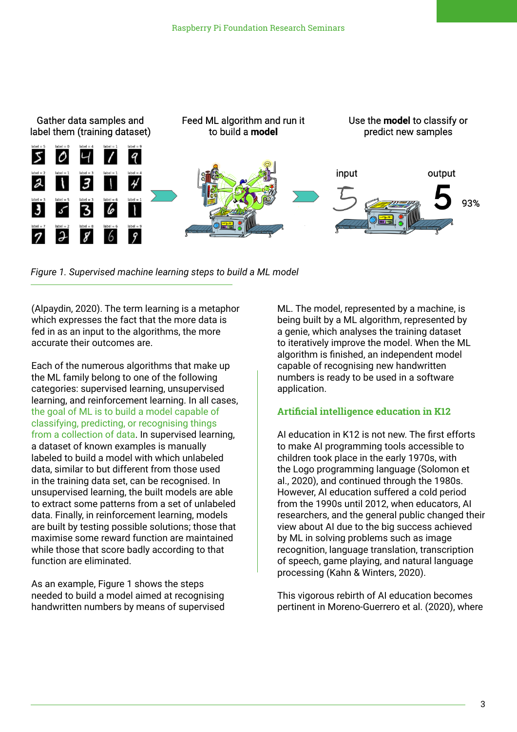

*Figure 1. Supervised machine learning steps to build a ML model*

(Alpaydin, 2020). The term learning is a metaphor which expresses the fact that the more data is fed in as an input to the algorithms, the more accurate their outcomes are.

Each of the numerous algorithms that make up the ML family belong to one of the following categories: supervised learning, unsupervised learning, and reinforcement learning. In all cases, the goal of ML is to build a model capable of classifying, predicting, or recognising things from a collection of data. In supervised learning, a dataset of known examples is manually labeled to build a model with which unlabeled data, similar to but different from those used in the training data set, can be recognised. In unsupervised learning, the built models are able to extract some patterns from a set of unlabeled data. Finally, in reinforcement learning, models are built by testing possible solutions; those that maximise some reward function are maintained while those that score badly according to that function are eliminated.

As an example, Figure 1 shows the steps needed to build a model aimed at recognising handwritten numbers by means of supervised

ML. The model, represented by a machine, is being built by a ML algorithm, represented by a genie, which analyses the training dataset to iteratively improve the model. When the ML algorithm is finished, an independent model capable of recognising new handwritten numbers is ready to be used in a software application.

# **Artificial intelligence education in K12**

AI education in K12 is not new. The first efforts to make AI programming tools accessible to children took place in the early 1970s, with the Logo programming language (Solomon et al., 2020), and continued through the 1980s. However, AI education suffered a cold period from the 1990s until 2012, when educators, AI researchers, and the general public changed their view about AI due to the big success achieved by ML in solving problems such as image recognition, language translation, transcription of speech, game playing, and natural language processing (Kahn & Winters, 2020).

This vigorous rebirth of AI education becomes pertinent in Moreno-Guerrero et al. (2020), where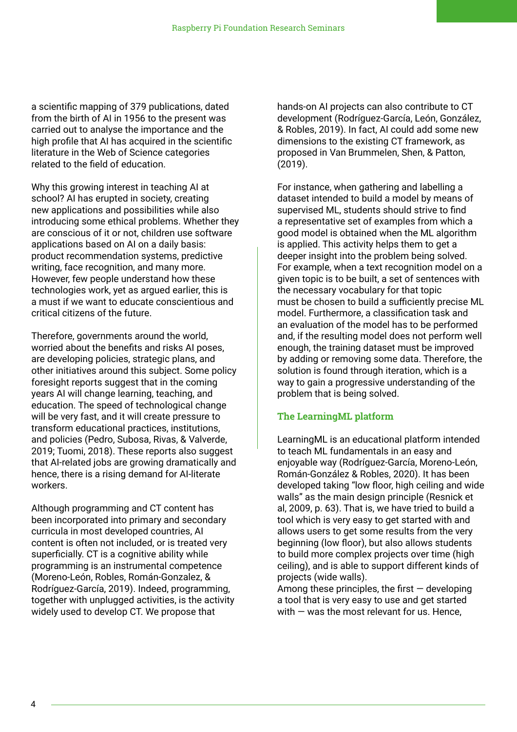a scientific mapping of 379 publications, dated from the birth of AI in 1956 to the present was carried out to analyse the importance and the high profile that AI has acquired in the scientific literature in the Web of Science categories related to the field of education.

Why this growing interest in teaching AI at school? AI has erupted in society, creating new applications and possibilities while also introducing some ethical problems. Whether they are conscious of it or not, children use software applications based on AI on a daily basis: product recommendation systems, predictive writing, face recognition, and many more. However, few people understand how these technologies work, yet as argued earlier, this is a must if we want to educate conscientious and critical citizens of the future.

Therefore, governments around the world, worried about the benefits and risks AI poses, are developing policies, strategic plans, and other initiatives around this subject. Some policy foresight reports suggest that in the coming years AI will change learning, teaching, and education. The speed of technological change will be very fast, and it will create pressure to transform educational practices, institutions, and policies (Pedro, Subosa, Rivas, & Valverde, 2019; Tuomi, 2018). These reports also suggest that AI-related jobs are growing dramatically and hence, there is a rising demand for AI-literate workers.

Although programming and CT content has been incorporated into primary and secondary curricula in most developed countries, AI content is often not included, or is treated very superficially. CT is a cognitive ability while programming is an instrumental competence (Moreno-León, Robles, Román-Gonzalez, & Rodríguez-García, 2019). Indeed, programming, together with unplugged activities, is the activity widely used to develop CT. We propose that

hands-on AI projects can also contribute to CT development (Rodríguez-García, León, González, & Robles, 2019). In fact, AI could add some new dimensions to the existing CT framework, as proposed in Van Brummelen, Shen, & Patton, (2019).

For instance, when gathering and labelling a dataset intended to build a model by means of supervised ML, students should strive to find a representative set of examples from which a good model is obtained when the ML algorithm is applied. This activity helps them to get a deeper insight into the problem being solved. For example, when a text recognition model on a given topic is to be built, a set of sentences with the necessary vocabulary for that topic must be chosen to build a sufficiently precise ML model. Furthermore, a classification task and an evaluation of the model has to be performed and, if the resulting model does not perform well enough, the training dataset must be improved by adding or removing some data. Therefore, the solution is found through iteration, which is a way to gain a progressive understanding of the problem that is being solved.

#### **The LearningML platform**

LearningML is an educational platform intended to teach ML fundamentals in an easy and enjoyable way (Rodríguez-García, Moreno-León, Román-González & Robles, 2020). It has been developed taking "low floor, high ceiling and wide walls" as the main design principle (Resnick et al, 2009, p. 63). That is, we have tried to build a tool which is very easy to get started with and allows users to get some results from the very beginning (low floor), but also allows students to build more complex projects over time (high ceiling), and is able to support different kinds of projects (wide walls).

Among these principles, the first  $-$  developing a tool that is very easy to use and get started with  $-$  was the most relevant for us. Hence,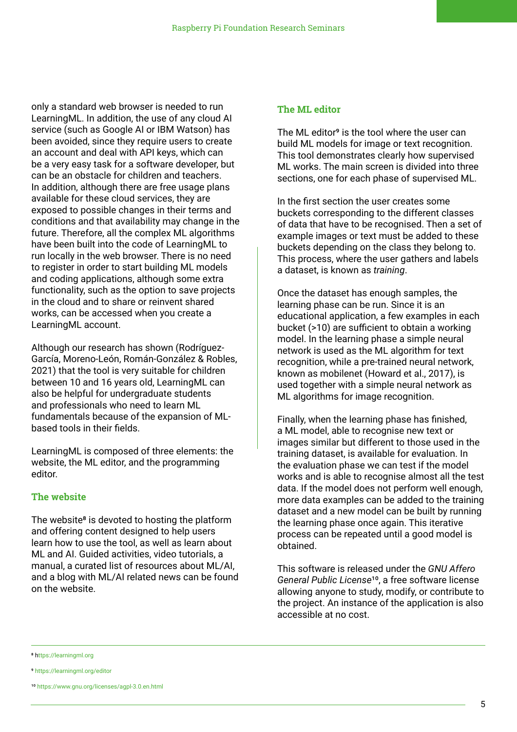only a standard web browser is needed to run LearningML. In addition, the use of any cloud AI service (such as Google AI or IBM Watson) has been avoided, since they require users to create an account and deal with API keys, which can be a very easy task for a software developer, but can be an obstacle for children and teachers. In addition, although there are free usage plans available for these cloud services, they are exposed to possible changes in their terms and conditions and that availability may change in the future. Therefore, all the complex ML algorithms have been built into the code of LearningML to run locally in the web browser. There is no need to register in order to start building ML models and coding applications, although some extra functionality, such as the option to save projects in the cloud and to share or reinvent shared works, can be accessed when you create a LearningML account.

Although our research has shown (Rodríguez-García, Moreno-León, Román-González & Robles, 2021) that the tool is very suitable for children between 10 and 16 years old, LearningML can also be helpful for undergraduate students and professionals who need to learn ML fundamentals because of the expansion of MLbased tools in their fields.

LearningML is composed of three elements: the website, the ML editor, and the programming editor.

#### **The website**

The website<sup>8</sup> is devoted to hosting the platform and offering content designed to help users learn how to use the tool, as well as learn about ML and AI. Guided activities, video tutorials, a manual, a curated list of resources about ML/AI, and a blog with ML/AI related news can be found on the website.

# **The ML editor**

The ML editor<sup>9</sup> is the tool where the user can build ML models for image or text recognition. This tool demonstrates clearly how supervised ML works. The main screen is divided into three sections, one for each phase of supervised ML.

In the first section the user creates some buckets corresponding to the different classes of data that have to be recognised. Then a set of example images or text must be added to these buckets depending on the class they belong to. This process, where the user gathers and labels a dataset, is known as *training*.

Once the dataset has enough samples, the learning phase can be run. Since it is an educational application, a few examples in each bucket (>10) are sufficient to obtain a working model. In the learning phase a simple neural network is used as the ML algorithm for text recognition, while a pre-trained neural network, known as mobilenet (Howard et al., 2017), is used together with a simple neural network as ML algorithms for image recognition.

Finally, when the learning phase has finished, a ML model, able to recognise new text or images similar but different to those used in the training dataset, is available for evaluation. In the evaluation phase we can test if the model works and is able to recognise almost all the test data. If the model does not perform well enough, more data examples can be added to the training dataset and a new model can be built by running the learning phase once again. This iterative process can be repeated until a good model is obtained.

This software is released under the *GNU Affero*  General Public License<sup>10</sup>, a free software license allowing anyone to study, modify, or contribute to the project. An instance of the application is also accessible at no cost.

<sup>8</sup> h[ttps://learningml.org](https://web.learningml.org/en/home-spanish-en-translation/)

<sup>9</sup> [https://learningml.org/editor](https://learningml.org/editor/)

<sup>10</sup> <https://www.gnu.org/licenses/agpl-3.0.en.html>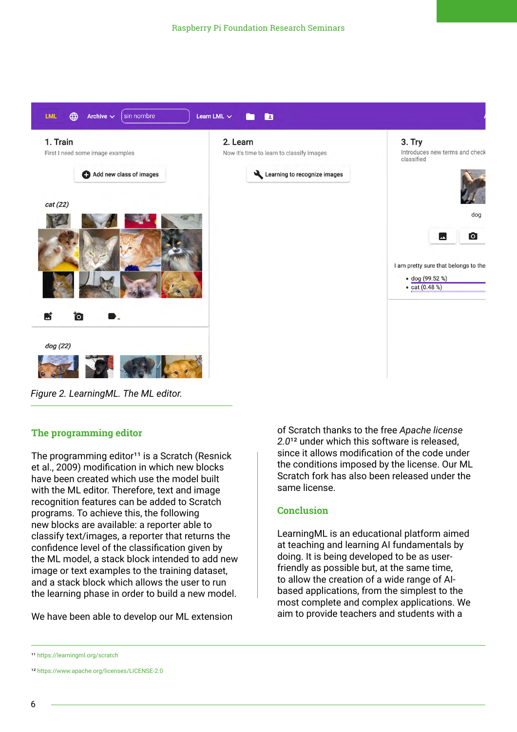

*Figure 2. LearningML. The ML editor.*

# **The programming editor**

The programming editor<sup>11</sup> is a Scratch (Resnick et al., 2009) modification in which new blocks have been created which use the model built with the ML editor. Therefore, text and image recognition features can be added to Scratch programs. To achieve this, the following new blocks are available: a reporter able to classify text/images, a reporter that returns the confidence level of the classification given by the ML model, a stack block intended to add new image or text examples to the training dataset, and a stack block which allows the user to run the learning phase in order to build a new model.

We have been able to develop our ML extension

of Scratch thanks to the free *Apache license*  2.0<sup>12</sup> under which this software is released. since it allows modification of the code under the conditions imposed by the license. Our ML Scratch fork has also been released under the same license.

#### **Conclusion**

LearningML is an educational platform aimed at teaching and learning AI fundamentals by doing. It is being developed to be as userfriendly as possible but, at the same time, to allow the creation of a wide range of AIbased applications, from the simplest to the most complete and complex applications. We aim to provide teachers and students with a

11 [https://learningml.org/scratch](https://learningml.org/scratch/)

12 [https://www.apache.org/licenses/LICENSE-](https://www.apache.org/licenses/LICENSE-2.0)2.0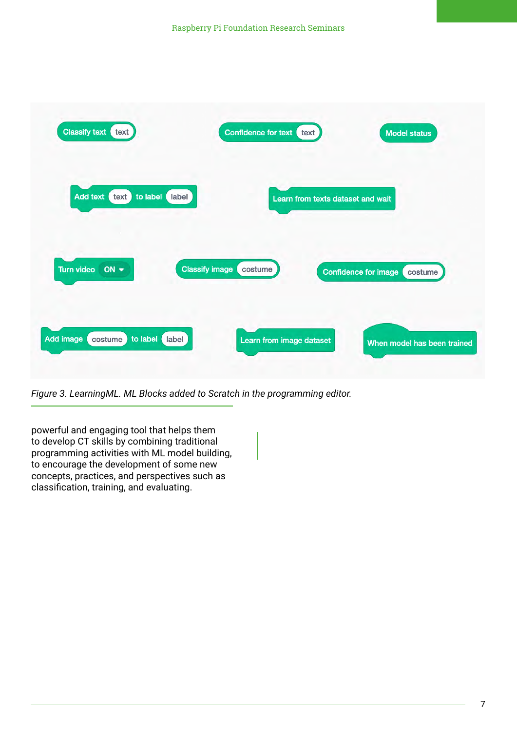![](_page_7_Picture_1.jpeg)

*Figure 3. LearningML. ML Blocks added to Scratch in the programming editor.*

powerful and engaging tool that helps them to develop CT skills by combining traditional programming activities with ML model building, to encourage the development of some new concepts, practices, and perspectives such as classification, training, and evaluating.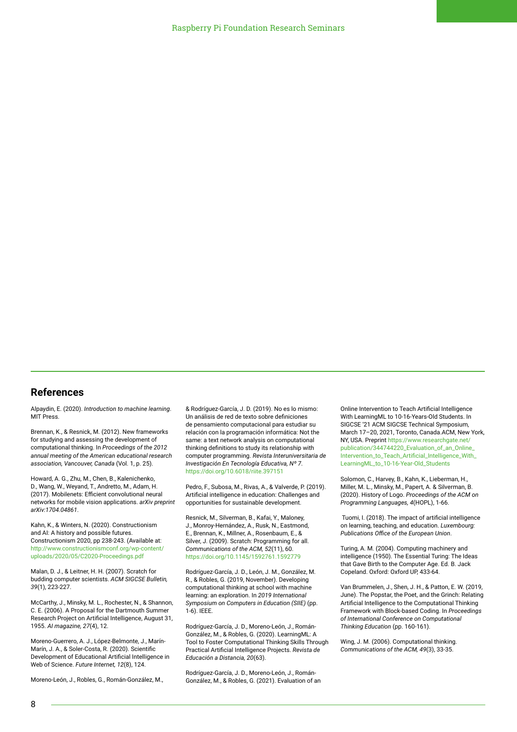#### **References**

Alpaydin, E. (2020). *Introduction to machine learning*. MIT Press.

Brennan, K., & Resnick, M. (2012). New frameworks for studying and assessing the development of computational thinking. In *Proceedings of the 2012 annual meeting of the American educational research association, Vancouver, Canada* (Vol. 1, p. 25).

Howard, A. G., Zhu, M., Chen, B., Kalenichenko, D., Wang, W., Weyand, T., Andretto, M., Adam, H. (2017). Mobilenets: Efficient convolutional neural networks for mobile vision applications. *arXiv preprint arXiv:1704.04861*.

Kahn, K., & Winters, N. (2020). Constructionism and AI: A history and possible futures. Constructionism 2020, pp 238-243. (Available at: [http://www.constructionismconf.org/wp-content/](http://www.constructionismconf.org/wp-content/uploads/2020/05/C2020-Proceedings.pdf) uploads/2020/05/C2020-Proceedings.pdf

Malan, D. J., & Leitner, H. H. (2007). Scratch for budding computer scientists. *ACM SIGCSE Bulletin, 39*(1), 223-227.

McCarthy, J., Minsky, M. L., Rochester, N., & Shannon, C. E. (2006). A Proposal for the Dartmouth Summer Research Project on Artificial Intelligence, August 31, 1955. *AI magazine, 27*(4), 12.

Moreno-Guerrero, A. J., López-Belmonte, J., Marín-Marín, J. A., & Soler-Costa, R. (2020). Scientific Development of Educational Artificial Intelligence in Web of Science. *Future Internet, 12*(8), 124.

Moreno-León, J., Robles, G., Román-González, M.,

& Rodríguez-García, J. D. (2019). No es lo mismo: Un análisis de red de texto sobre definiciones de pensamiento computacional para estudiar su relación con la programación informática: Not the same: a text network analysis on computational thinking definitions to study its relationship with computer programming. *Revista Interuniversitaria de [Investigación En Tecnología Educativa, Nº 7](https://revistas.um.es/riite/article/view/397151)*. https://doi.org/10.6018/riite.397151

Pedro, F., Subosa, M., Rivas, A., & Valverde, P. (2019). Artificial intelligence in education: Challenges and opportunities for sustainable development.

Resnick, M., Silverman, B., Kafai, Y., Maloney, J., Monroy-Hernández, A., Rusk, N., Eastmond, E., Brennan, K., Millner, A., Rosenbaum, E., & Silver, J. (2009). Scratch: Programming for all. *Communications of the ACM, 52*(11), 60. <https://doi.org/10.1145/1592761.1592779>

Rodríguez-García, J. D., León, J. M., González, M. R., & Robles, G. (2019, November). Developing computational thinking at school with machine learning: an exploration. In *2019 International Symposium on Computers in Education (SIIE)* (pp. 1-6). IEEE.

Rodríguez-García, J. D., Moreno-León, J., Román-González, M., & Robles, G. (2020). LearningML: A Tool to Foster Computational Thinking Skills Through Practical Artificial Intelligence Projects. *Revista de Educación a Distancia, 20*(63).

Rodríguez-García, J. D., Moreno-León, J., Román-González, M., & Robles, G. (2021). Evaluation of an Online Intervention to Teach Artificial Intelligence With LearningML to 10-16-Years-Old Students. In SIGCSE '21 ACM SIGCSE Technical Symposium, March 17–20, 2021, Toronto, Canada.ACM, New York, NY, USA. Preprint https://www.researchgate.net/ publication/344744220\_Evaluation\_of\_an\_Online\_ [Intervention\\_to\\_Teach\\_Artificial\\_Intelligence\\_With\\_](https://www.researchgate.net/publication/344744220_Evaluation_of_an_Online_Intervention_to_Teach_Artificial_Intelligence_With_LearningML_to_10-16-Year-Old_Students) LearningML\_to\_10-16-Year-Old\_Students

Solomon, C., Harvey, B., Kahn, K., Lieberman, H., Miller, M. L., Minsky, M., Papert, A. & Silverman, B. (2020). History of Logo. *Proceedings of the ACM on Programming Languages, 4*(HOPL), 1-66.

 Tuomi, I. (2018). The impact of artificial intelligence on learning, teaching, and education. *Luxembourg: Publications Office of the European Union*.

Turing, A. M. (2004). Computing machinery and intelligence (1950). The Essential Turing: The Ideas that Gave Birth to the Computer Age. Ed. B. Jack Copeland. Oxford: Oxford UP, 433-64.

Van Brummelen, J., Shen, J. H., & Patton, E. W. (2019, June). The Popstar, the Poet, and the Grinch: Relating Artificial Intelligence to the Computational Thinking Framework with Block-based Coding. In *Proceedings of International Conference on Computational Thinking Education* (pp. 160-161).

Wing, J. M. (2006). Computational thinking. *Communications of the ACM, 49*(3), 33-35.